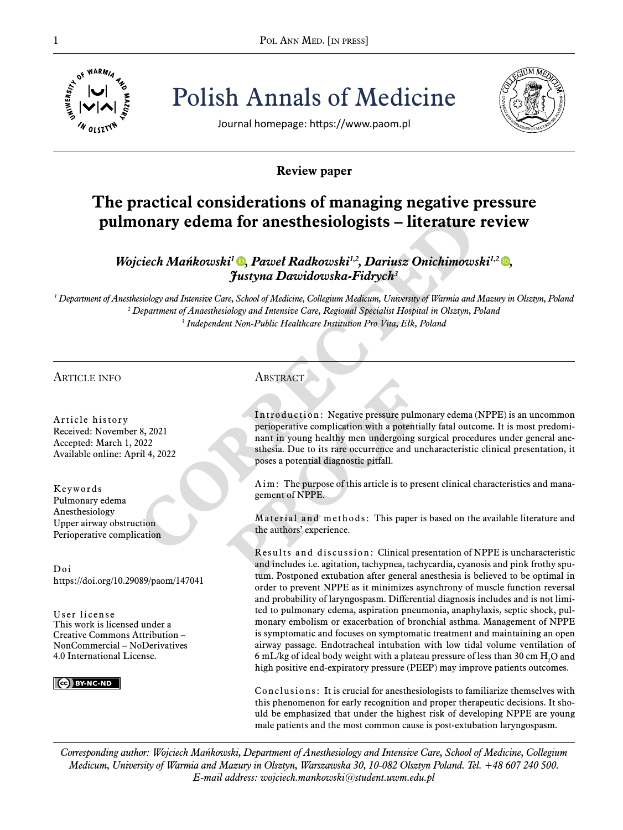

Pol ANN MED. [IN PRESS]<br>  $\frac{1}{\frac{1}{2}}$  o<sup>f WARM/4</sup>  $\frac{1}{2}$ <br>  $\frac{1}{2}$   $\frac{1}{2}$   $\frac{1}{2}$   $\frac{1}{2}$   $\frac{1}{2}$   $\frac{1}{2}$   $\frac{1}{2}$   $\frac{1}{2}$   $\frac{1}{2}$   $\frac{1}{2}$   $\frac{1}{2}$   $\frac{1}{2}$   $\frac{1}{2}$   $\frac{1}{2}$   $\frac{1}{2}$   $\frac{1}{2}$ Polish Annals of Medicine



Journal homepage: https://www.paom.pl

# **Review paper**

# **The practical considerations of managing negative pressure pulmonary edema for anesthesiologists – literature review**

# *Wojciech Mańkowski<sup><i>i*</sup> ©[,](https://orcid.org/0000-0001-5953-657X) Paweł Radkowski<sup>1,2</sup>, Dariusz Onichimowski<sup>1,2</sup> ©, *Justyna Dawidowska-Fidrych<sup>3</sup>*

*1 Department of Anesthesiology and Intensive Care, School of Medicine, Collegium Medicum, University of Warmia and Mazury in Olsztyn, Poland 2 Department of Anaesthesiology and Intensive Care, Regional Specialist Hospital in Olsztyn, Poland 3 Independent Non-Public Healthcare Institution Pro Vita, Ełk, Poland*

### Article info

Article history Received: November 8, 2021 Accepted: March 1, 2022 Available online: April 4, 2022

Keywords Pulmonary edema Anesthesiology Upper airway obstruction Perioperative complication

Doi https://doi.org/10.29089/paom/147041

User license This work is licensed under a Creative Commons Attribution – NonCommercial – NoDerivatives 4.0 International License.

CC BY-NC-ND

## **ABSTRACT**

Introduction: Negative pressure pulmonary edema (NPPE) is an uncommon perioperative complication with a potentially fatal outcome. It is most predominant in young healthy men undergoing surgical procedures under general anesthesia. Due to its rare occurrence and uncharacteristic clinical presentation, it poses a potential diagnostic pitfall.

Aim: The purpose of this article is to present clinical characteristics and management of NPPE.

Material and methods: This paper is based on the available literature and the authors' experience.

Results and discussion: Clinical presentation of NPPE is uncharacteristic and includes i.e. agitation, tachypnea, tachycardia, cyanosis and pink frothy sputum. Postponed extubation after general anesthesia is believed to be optimal in order to prevent NPPE as it minimizes asynchrony of muscle function reversal and probability of laryngospasm. Differential diagnosis includes and is not limited to pulmonary edema, aspiration pneumonia, anaphylaxis, septic shock, pulmonary embolism or exacerbation of bronchial asthma. Management of NPPE is symptomatic and focuses on symptomatic treatment and maintaining an open airway passage. Endotracheal intubation with low tidal volume ventilation of 6 mL/kg of ideal body weight with a plateau pressure of less than 30 cm  $\rm H_2O$  and high positive end-expiratory pressure (PEEP) may improve patients outcomes.

Conclusions: It is crucial for anesthesiologists to familiarize themselves with this phenomenon for early recognition and proper therapeutic decisions. It should be emphasized that under the highest risk of developing NPPE are young male patients and the most common cause is post-extubation laryngospasm.

*Corresponding author: Wojciech Mańkowski, Department of Anesthesiology and Intensive Care, School of Medicine, Collegium Medicum, University of Warmia and Mazury in Olsztyn, Warszawska 30, 10-082 Olsztyn Poland. Tel. +48 607 240 500. E-mail address: wojciech.mankowski@student.uwm.edu.pl*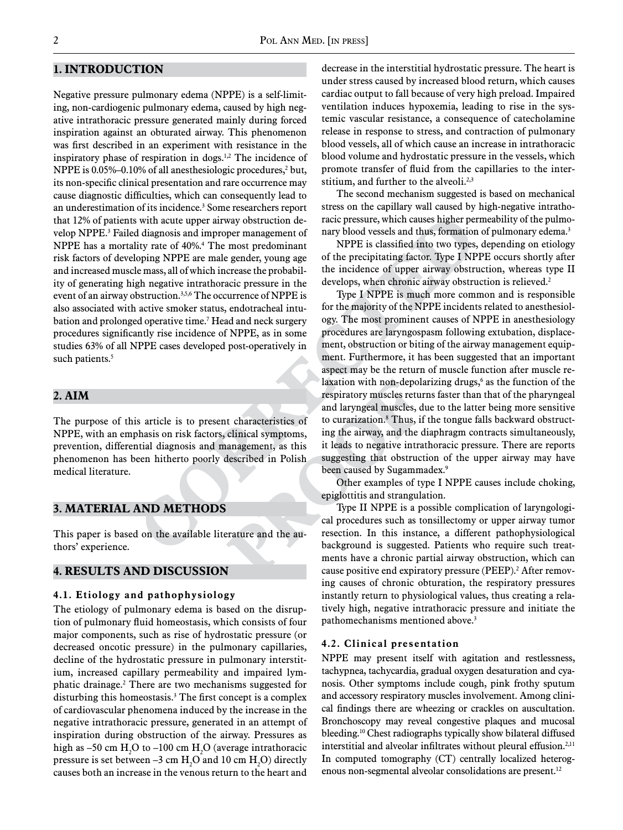### **1. Introduction**

Negative pressure pulmonary edema (NPPE) is a self-limiting, non-cardiogenic pulmonary edema, caused by high negative intrathoracic pressure generated mainly during forced inspiration against an obturated airway. This phenomenon was first described in an experiment with resistance in the inspiratory phase of respiration in dogs.<sup>1,2</sup> The incidence of NPPE is  $0.05\%$ –0.10% of all anesthesiologic procedures,<sup>2</sup> but, its non-specific clinical presentation and rare occurrence may cause diagnostic difficulties, which can consequently lead to an underestimation of its incidence.<sup>3</sup> Some researchers report that 12% of patients with acute upper airway obstruction develop NPPE.<sup>3</sup> Failed diagnosis and improper management of NPPE has a mortality rate of 40%.4 The most predominant risk factors of developing NPPE are male gender, young age and increased muscle mass, all of which increase the probability of generating high negative intrathoracic pressure in the event of an airway obstruction.<sup>3,5,6</sup> The occurrence of NPPE is also associated with active smoker status, endotracheal intubation and prolonged operative time.7 Head and neck surgery procedures significantly rise incidence of NPPE, as in some studies 63% of all NPPE cases developed post-operatively in such patients.<sup>5</sup>

### **2. Aim**

The purpose of this article is to present characteristics of NPPE, with an emphasis on risk factors, clinical symptoms, prevention, differential diagnosis and management, as this phenomenon has been hitherto poorly described in Polish medical literature.

### **3. Material and Methods**

This paper is based on the available literature and the authors' experience.

### **4. Results and Discussion**

#### **4.1. Etiology and pathophysiology**

The etiology of pulmonary edema is based on the disruption of pulmonary fluid homeostasis, which consists of four major components, such as rise of hydrostatic pressure (or decreased oncotic pressure) in the pulmonary capillaries, decline of the hydrostatic pressure in pulmonary interstitium, increased capillary permeability and impaired lymphatic drainage.2 There are two mechanisms suggested for disturbing this homeostasis.<sup>3</sup> The first concept is a complex of cardiovascular phenomena induced by the increase in the negative intrathoracic pressure, generated in an attempt of inspiration during obstruction of the airway. Pressures as high as  $-50$  cm  $H_2O$  to  $-100$  cm  $H_2O$  (average intrathoracic pressure is set between  $-3$  cm  $H_2O$  and 10 cm  $H_2O$ ) directly causes both an increase in the venous return to the heart and

decrease in the interstitial hydrostatic pressure. The heart is under stress caused by increased blood return, which causes cardiac output to fall because of very high preload. Impaired ventilation induces hypoxemia, leading to rise in the systemic vascular resistance, a consequence of catecholamine release in response to stress, and contraction of pulmonary blood vessels, all of which cause an increase in intrathoracic blood volume and hydrostatic pressure in the vessels, which promote transfer of fluid from the capillaries to the interstitium, and further to the alveoli.<sup>2,3</sup>

The second mechanism suggested is based on mechanical stress on the capillary wall caused by high-negative intrathoracic pressure, which causes higher permeability of the pulmonary blood vessels and thus, formation of pulmonary edema.<sup>3</sup>

NPPE is classified into two types, depending on etiology of the precipitating factor. Type I NPPE occurs shortly after the incidence of upper airway obstruction, whereas type II develops, when chronic airway obstruction is relieved.<sup>2</sup>

Type I NPPE is much more common and is responsible for the majority of the NPPE incidents related to anesthesiology. The most prominent causes of NPPE in anesthesiology procedures are laryngospasm following extubation, displacement, obstruction or biting of the airway management equipment. Furthermore, it has been suggested that an important aspect may be the return of muscle function after muscle relaxation with non-depolarizing drugs,<sup>6</sup> as the function of the respiratory muscles returns faster than that of the pharyngeal and laryngeal muscles, due to the latter being more sensitive to curarization.8 Thus, if the tongue falls backward obstructing the airway, and the diaphragm contracts simultaneously, it leads to negative intrathoracic pressure. There are reports suggesting that obstruction of the upper airway may have been caused by Sugammadex.<sup>9</sup>

Other examples of type I NPPE causes include choking, epiglottitis and strangulation.

Type II NPPE is a possible complication of laryngological procedures such as tonsillectomy or upper airway tumor resection. In this instance, a different pathophysiological background is suggested. Patients who require such treatments have a chronic partial airway obstruction, which can cause positive end expiratory pressure (PEEP).<sup>2</sup> After removing causes of chronic obturation, the respiratory pressures instantly return to physiological values, thus creating a relatively high, negative intrathoracic pressure and initiate the pathomechanisms mentioned above.<sup>3</sup>

#### **4.2. Clinical presentation**

NPPE may present itself with agitation and restlessness, tachypnea, tachycardia, gradual oxygen desaturation and cyanosis. Other symptoms include cough, pink frothy sputum and accessory respiratory muscles involvement. Among clinical findings there are wheezing or crackles on auscultation. Bronchoscopy may reveal congestive plaques and mucosal bleeding.10 Chest radiographs typically show bilateral diffused interstitial and alveolar infiltrates without pleural effusion.<sup>2,11</sup> In computed tomography (CT) centrally localized heterogenous non-segmental alveolar consolidations are present.<sup>12</sup>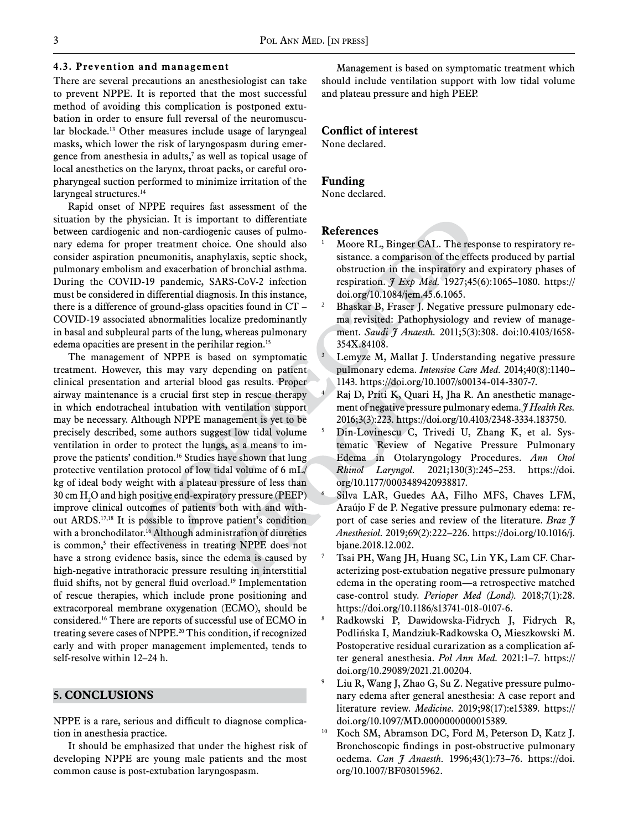#### **4.3. Prevention and management**

There are several precautions an anesthesiologist can take to prevent NPPE. It is reported that the most successful method of avoiding this complication is postponed extubation in order to ensure full reversal of the neuromuscular blockade.<sup>13</sup> Other measures include usage of laryngeal masks, which lower the risk of laryngospasm during emergence from anesthesia in adults, $\lambda$  as well as topical usage of local anesthetics on the larynx, throat packs, or careful oropharyngeal suction performed to minimize irritation of the laryngeal structures.<sup>14</sup>

Rapid onset of NPPE requires fast assessment of the situation by the physician. It is important to differentiate between cardiogenic and non-cardiogenic causes of pulmonary edema for proper treatment choice. One should also consider aspiration pneumonitis, anaphylaxis, septic shock, pulmonary embolism and exacerbation of bronchial asthma. During the COVID-19 pandemic, SARS-CoV-2 infection must be considered in differential diagnosis. In this instance, there is a difference of ground-glass opacities found in CT – COVID-19 associated abnormalities localize predominantly in basal and subpleural parts of the lung, whereas pulmonary edema opacities are present in the perihilar region.<sup>15</sup>

The management of NPPE is based on symptomatic treatment. However, this may vary depending on patient clinical presentation and arterial blood gas results. Proper airway maintenance is a crucial first step in rescue therapy in which endotracheal intubation with ventilation support may be necessary. Although NPPE management is yet to be precisely described, some authors suggest low tidal volume ventilation in order to protect the lungs, as a means to improve the patients' condition.<sup>16</sup> Studies have shown that lung protective ventilation protocol of low tidal volume of 6 mL/ kg of ideal body weight with a plateau pressure of less than 30 cm  $\rm H_2O$  and high positive end-expiratory pressure (PEEP) improve clinical outcomes of patients both with and without ARDS.17,18 It is possible to improve patient's condition with a bronchodilator.<sup>16</sup> Although administration of diuretics is common,<sup>5</sup> their effectiveness in treating NPPE does not have a strong evidence basis, since the edema is caused by high-negative intrathoracic pressure resulting in interstitial fluid shifts, not by general fluid overload.<sup>19</sup> Implementation of rescue therapies, which include prone positioning and extracorporeal membrane oxygenation (ECMO), should be considered.16 There are reports of successful use of ECMO in treating severe cases of NPPE.20 This condition, if recognized early and with proper management implemented, tends to self-resolve within 12–24 h.

### **5. Conclusions**

NPPE is a rare, serious and difficult to diagnose complication in anesthesia practice.

It should be emphasized that under the highest risk of developing NPPE are young male patients and the most common cause is post-extubation laryngospasm.

Management is based on symptomatic treatment which should include ventilation support with low tidal volume and plateau pressure and high PEEP.

### **Conflict of interest**

None declared.

#### **Funding**

None declared.

### **References**

- Moore RL, Binger CAL. The response to respiratory resistance. a comparison of the effects produced by partial obstruction in the inspiratory and expiratory phases of respiration. *J Exp Med.* 1927;45(6):1065–1080. https:// doi.org/10.1084/jem.45.6.1065.
- <sup>2</sup> Bhaskar B, Fraser J. Negative pressure pulmonary edema revisited: Pathophysiology and review of management. *Saudi J Anaesth.* 2011;5(3):308. doi:10.4103/1658- 354X.84108.
- Lemyze M, Mallat J. Understanding negative pressure pulmonary edema. *Intensive Care Med.* 2014;40(8):1140– 1143. https://doi.org/10.1007/s00134-014-3307-7.
- 4 Raj D, Priti K, Quari H, Jha R. An anesthetic management of negative pressure pulmonary edema. *J Health Res.* 2016;3(3):223. https://doi.org/10.4103/2348-3334.183750.
- <sup>5</sup> Din-Lovinescu C, Trivedi U, Zhang K, et al. Systematic Review of Negative Pressure Pulmonary Edema in Otolaryngology Procedures. *Ann Otol Rhinol Laryngol.* 2021;130(3):245–253. https://doi. org/10.1177/0003489420938817.
- <sup>6</sup> Silva LAR, Guedes AA, Filho MFS, Chaves LFM, Araújo F de P. Negative pressure pulmonary edema: report of case series and review of the literature. *Braz J Anesthesiol.* 2019;69(2):222–226. https://doi.org/10.1016/j. bjane.2018.12.002.
- <sup>7</sup> Tsai PH, Wang JH, Huang SC, Lin YK, Lam CF. Characterizing post-extubation negative pressure pulmonary edema in the operating room—a retrospective matched case-control study. *Perioper Med (Lond).* 2018;7(1):28. https://doi.org/10.1186/s13741-018-0107-6.
- <sup>8</sup> Radkowski P, Dawidowska-Fidrych J, Fidrych R, Podlińska I, Mandziuk-Radkowska O, Mieszkowski M. Postoperative residual curarization as a complication after general anesthesia. *Pol Ann Med.* 2021:1–7. https:// doi.org/10.29089/2021.21.00204.
- <sup>9</sup> Liu R, Wang J, Zhao G, Su Z. Negative pressure pulmonary edema after general anesthesia: A case report and literature review. *Medicine*. 2019;98(17):e15389. https:// doi.org/10.1097/MD.0000000000015389.
- <sup>10</sup> Koch SM, Abramson DC, Ford M, Peterson D, Katz J. Bronchoscopic findings in post-obstructive pulmonary oedema. *Can J Anaesth.* 1996;43(1):73–76. https://doi. org/10.1007/BF03015962.